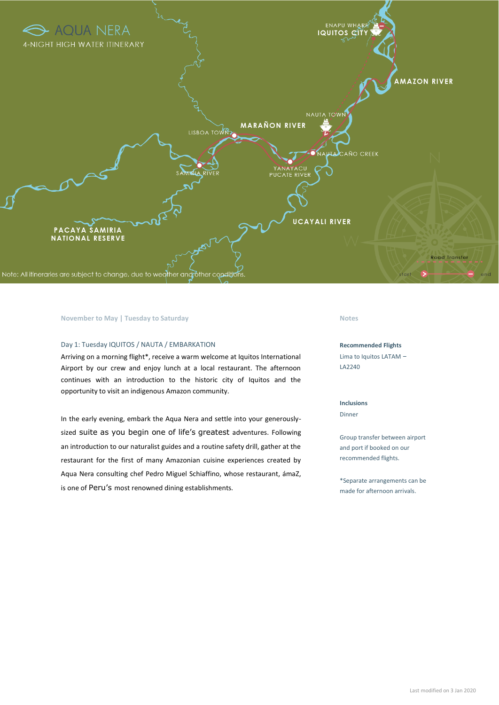

#### **November to May | Tuesday to Saturday <b>Notes Notes Notes**

#### Day 1: Tuesday IQUITOS / NAUTA / EMBARKATION

Arriving on a morning flight\*, receive a warm welcome at Iquitos International Airport by our crew and enjoy lunch at a local restaurant. The afternoon continues with an introduction to the historic city of Iquitos and the opportunity to visit an indigenous Amazon community.

In the early evening, embark the Aqua Nera and settle into your generouslysized suite as you begin one of life's greatest adventures. Following an introduction to our naturalist guides and a routine safety drill, gather at the restaurant for the first of many Amazonian cuisine experiences created by Aqua Nera consulting chef Pedro Miguel Schiaffino, whose restaurant, ámaZ, is one of Peru's most renowned dining establishments.

#### **Recommended Flights**

Lima to Iquitos LATAM – LA2240

#### **Inclusions**

Dinner

Group transfer between airport and port if booked on our recommended flights.

\*Separate arrangements can be made for afternoon arrivals.